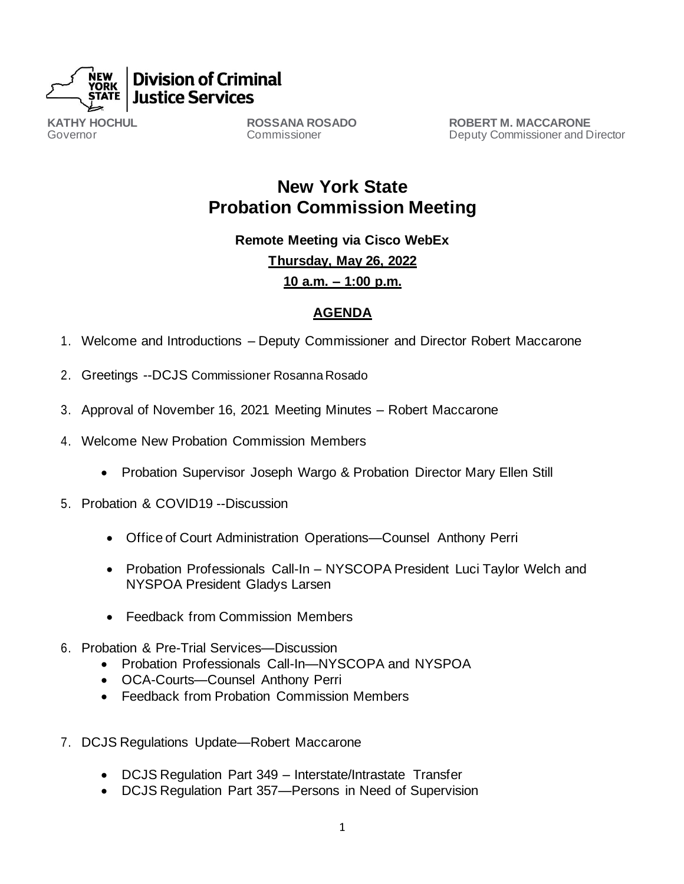

**KATHY HOCHUL** Governor

**ROSSANA ROSADO**  Commissioner

**ROBERT M. MACCARONE** Deputy Commissioner and Director

**New York State Probation Commission Meeting**

**Remote Meeting via Cisco WebEx**

**Thursday, May 26, 2022**

**10 a.m. – 1:00 p.m.**

## **AGENDA**

- 1. Welcome and Introductions Deputy Commissioner and Director Robert Maccarone
- 2. Greetings --DCJS Commissioner Rosanna Rosado
- 3. Approval of November 16, 2021 Meeting Minutes Robert Maccarone
- 4. Welcome New Probation Commission Members
	- Probation Supervisor Joseph Wargo & Probation Director Mary Ellen Still
- 5. Probation & COVID19 --Discussion
	- Office of Court Administration Operations—Counsel Anthony Perri
	- Probation Professionals Call-In NYSCOPA President Luci Taylor Welch and NYSPOA President Gladys Larsen
	- Feedback from Commission Members
- 6. Probation & Pre-Trial Services—Discussion
	- Probation Professionals Call-In—NYSCOPA and NYSPOA
	- OCA-Courts—Counsel Anthony Perri
	- Feedback from Probation Commission Members
- 7. DCJS Regulations Update—Robert Maccarone
	- DCJS Regulation Part 349 Interstate/Intrastate Transfer
	- DCJS Regulation Part 357—Persons in Need of Supervision